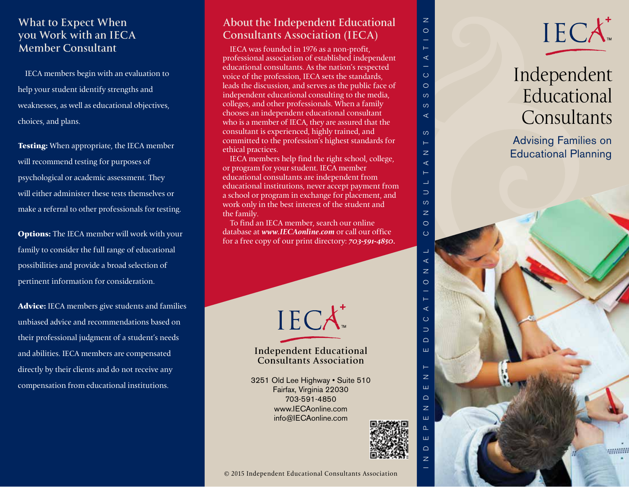## **What to Expect When you Work with an IECA Member Consultant**

IECA members begin with an evaluation to help your student identify strengths and weaknesses, as well as educational objectives, choices, and plans.

**Testing:** When appropriate, the IECA member will recommend testing for purposes of psychological or academic assessment. They will either administer these tests themselves or make a referral to other professionals for testing.

**Options:** The IECA member will work with your family to consider the full range of educational possibilities and provide a broad selection of pertinent information for consideration.

**Advice:** IECA members give students and families unbiased advice and recommendations based on their professional judgment of a student's needs and abilities. IECA members are compensated directly by their clients and do not receive any compensation from educational institutions.

# **About the Independent Educational Consultants Association (IECA)**

IECA was founded in 1976 as a non-profit, professional association of established independent educational consultants. As the nation's respected voice of the profession, IECA sets the standards, leads the discussion, and serves as the public face of independent educational consulting to the media, colleges, and other professionals. When a family chooses an independent educational consultant who is a member of IECA, they are assured that the consultant is experienced, highly trained, and committed to the profession's highest standards for ethical practices.

IECA members help find the right school, college, or program for your student. IECA member educational consultants are independent from educational institutions, never accept payment from a school or program in exchange for placement, and work only in the best interest of the student and the family.

To find an IECA member, search our online database at *www.IECAonline.com* or call our office for a free copy of our print directory: *703-591-4850.*



## **Independent Educational Consultants Association**

3251 Old Lee Highway • Suite 510 Fairfax, Virginia 22030 703-591-4850 www.IECAonline.com info@IECAonline.com



INDEPENDENT EDUCATIONAL CONSULTANTS ASSOCIATION

 $\overline{z}$ Ш  $\Box$  $\overline{z}$ Ш  $\Omega$ Ш  $\Box$ 

 $\overline{z}$ 





# IECA<br>
Independe<br>
Education<br>
Consultan<br>
Advising Families<br>
Educational Planni<br>
Le a<br>
Le a<br>
Le a<br>
Le a<br>
Le a<br>
Le a<br>
Le a<br>
Le a<br>
Le a<br>
Le a<br>
Le a<br>
Le a<br>
Le a<br>
Le a<br>
Le a<br>
Le a<br>
Le a<br>
Le a<br>
Le a<br>
Le a<br>
Le a<br>
Le a<br>
Le a<br>
Le a<br> Independent Educational **Consultants**

Advising Families on Educational Planning

**William**